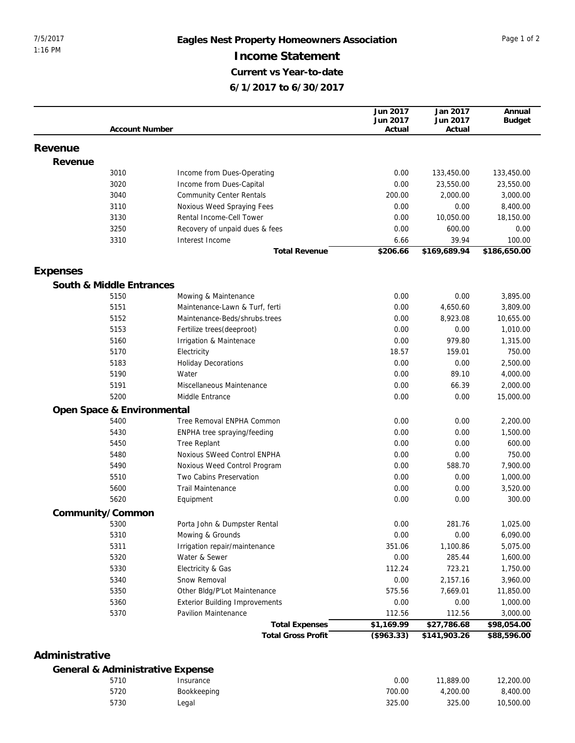## 7/5/2017 **Eagles Nest Property Homeowners Association** Page 1 of 2 **Income Statement Current vs Year-to-date 6/1/2017 to 6/30/2017**

|                |                                  |                                       | Jun 2017   | Jan 2017     | Annual        |
|----------------|----------------------------------|---------------------------------------|------------|--------------|---------------|
|                |                                  |                                       | Jun 2017   | Jun 2017     | <b>Budget</b> |
|                | <b>Account Number</b>            |                                       | Actual     | Actual       |               |
|                |                                  |                                       |            |              |               |
| Revenue        |                                  |                                       |            |              |               |
| Revenue        |                                  |                                       |            |              |               |
|                | 3010                             | Income from Dues-Operating            | 0.00       | 133,450.00   | 133,450.00    |
|                | 3020                             | Income from Dues-Capital              | 0.00       | 23,550.00    | 23,550.00     |
|                | 3040                             | <b>Community Center Rentals</b>       | 200.00     | 2,000.00     | 3,000.00      |
|                | 3110                             | Noxious Weed Spraying Fees            | 0.00       | 0.00         | 8,400.00      |
|                | 3130                             | Rental Income-Cell Tower              | 0.00       | 10,050.00    | 18,150.00     |
|                | 3250                             | Recovery of unpaid dues & fees        | 0.00       | 600.00       | 0.00          |
|                | 3310                             | Interest Income                       | 6.66       | 39.94        | 100.00        |
|                |                                  | <b>Total Revenue</b>                  | \$206.66   | \$169,689.94 | \$186,650.00  |
| Expenses       |                                  |                                       |            |              |               |
|                | South & Middle Entrances         |                                       |            |              |               |
|                | 5150                             | Mowing & Maintenance                  | 0.00       | 0.00         | 3,895.00      |
|                | 5151                             | Maintenance-Lawn & Turf, ferti        | 0.00       | 4,650.60     | 3,809.00      |
|                | 5152                             | Maintenance-Beds/shrubs.trees         | 0.00       | 8,923.08     | 10,655.00     |
|                | 5153                             | Fertilize trees(deeproot)             | 0.00       | 0.00         | 1,010.00      |
|                | 5160                             | Irrigation & Maintenace               | 0.00       | 979.80       | 1,315.00      |
|                | 5170                             | Electricity                           | 18.57      | 159.01       | 750.00        |
|                | 5183                             | <b>Holiday Decorations</b>            | 0.00       | 0.00         | 2,500.00      |
|                | 5190                             | Water                                 | 0.00       | 89.10        | 4,000.00      |
|                |                                  |                                       |            |              |               |
|                | 5191                             | Miscellaneous Maintenance             | 0.00       | 66.39        | 2,000.00      |
|                | 5200                             | Middle Entrance                       | 0.00       | 0.00         | 15,000.00     |
|                | Open Space & Environmental       |                                       |            |              |               |
|                | 5400                             | Tree Removal ENPHA Common             | 0.00       | 0.00         | 2,200.00      |
|                | 5430                             | ENPHA tree spraying/feeding           | 0.00       | 0.00         | 1,500.00      |
|                | 5450                             | Tree Replant                          | 0.00       | 0.00         | 600.00        |
|                | 5480                             | Noxious SWeed Control ENPHA           | 0.00       | 0.00         | 750.00        |
|                | 5490                             | Noxious Weed Control Program          | 0.00       | 588.70       | 7,900.00      |
|                | 5510                             | Two Cabins Preservation               | 0.00       | 0.00         | 1,000.00      |
|                | 5600                             | <b>Trail Maintenance</b>              | 0.00       | 0.00         | 3,520.00      |
|                | 5620                             | Equipment                             | 0.00       | 0.00         | 300.00        |
|                | Community/Common                 |                                       |            |              |               |
|                | 5300                             | Porta John & Dumpster Rental          | 0.00       | 281.76       | 1,025.00      |
|                | 5310                             | Mowing & Grounds                      | 0.00       | 0.00         | 6,090.00      |
|                | 5311                             | Irrigation repair/maintenance         | 351.06     | 1,100.86     | 5,075.00      |
|                | 5320                             | Water & Sewer                         | 0.00       | 285.44       | 1,600.00      |
|                | 5330                             | Electricity & Gas                     | 112.24     | 723.21       | 1,750.00      |
|                | 5340                             | Snow Removal                          | 0.00       | 2,157.16     | 3,960.00      |
|                | 5350                             | Other Bldg/P'Lot Maintenance          | 575.56     | 7,669.01     | 11,850.00     |
|                | 5360                             | <b>Exterior Building Improvements</b> | 0.00       | 0.00         | 1,000.00      |
|                | 5370                             | Pavilion Maintenance                  | 112.56     | 112.56       | 3,000.00      |
|                |                                  | <b>Total Expenses</b>                 | \$1,169.99 | \$27,786.68  | \$98,054.00   |
|                |                                  | <b>Total Gross Profit</b>             | (\$963.33) | \$141,903.26 | \$88,596.00   |
|                |                                  |                                       |            |              |               |
| Administrative |                                  |                                       |            |              |               |
|                | General & Administrative Expense |                                       |            |              |               |
|                | 5710                             | Insurance                             | 0.00       | 11,889.00    | 12,200.00     |
|                | 5720                             | Bookkeeping                           | 700.00     | 4,200.00     | 8,400.00      |
|                | 5730                             | Legal                                 | 325.00     | 325.00       | 10,500.00     |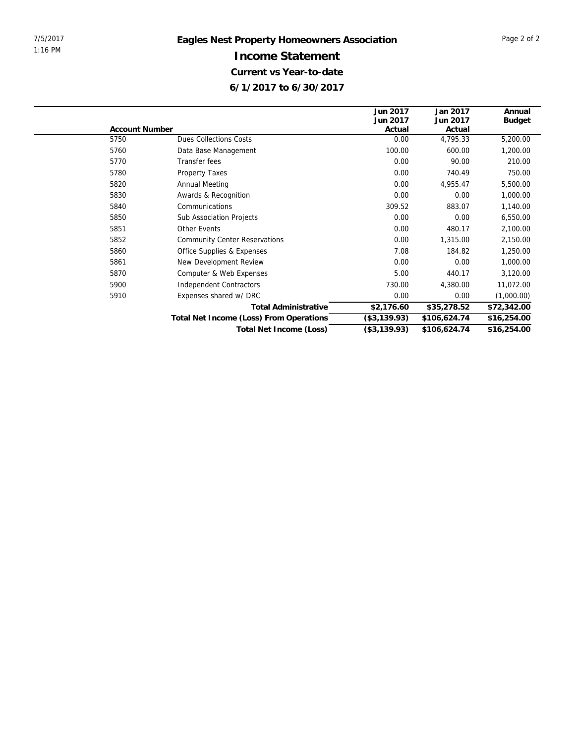|                       |                                         | Jun 2017     | Jan 2017     | Annual        |
|-----------------------|-----------------------------------------|--------------|--------------|---------------|
|                       |                                         | Jun 2017     | Jun 2017     | <b>Budget</b> |
| <b>Account Number</b> |                                         | Actual       | Actual       |               |
| 5750                  | <b>Dues Collections Costs</b>           | 0.00         | 4,795.33     | 5,200.00      |
| 5760                  | Data Base Management                    | 100.00       | 600.00       | 1,200.00      |
| 5770                  | Transfer fees                           | 0.00         | 90.00        | 210.00        |
| 5780                  | Property Taxes                          | 0.00         | 740.49       | 750.00        |
| 5820                  | Annual Meeting                          | 0.00         | 4,955.47     | 5,500.00      |
| 5830                  | Awards & Recognition                    | 0.00         | 0.00         | 1,000.00      |
| 5840                  | Communications                          | 309.52       | 883.07       | 1,140.00      |
| 5850                  | <b>Sub Association Projects</b>         | 0.00         | 0.00         | 6,550.00      |
| 5851                  | <b>Other Events</b>                     | 0.00         | 480.17       | 2,100.00      |
| 5852                  | <b>Community Center Reservations</b>    | 0.00         | 1,315.00     | 2,150.00      |
| 5860                  | Office Supplies & Expenses              | 7.08         | 184.82       | 1,250.00      |
| 5861                  | New Development Review                  | 0.00         | 0.00         | 1,000.00      |
| 5870                  | Computer & Web Expenses                 | 5.00         | 440.17       | 3,120.00      |
| 5900                  | <b>Independent Contractors</b>          | 730.00       | 4,380.00     | 11,072.00     |
| 5910                  | Expenses shared w/ DRC                  | 0.00         | 0.00         | (1,000.00)    |
|                       | <b>Total Administrative</b>             | \$2,176.60   | \$35,278.52  | \$72,342.00   |
|                       | Total Net Income (Loss) From Operations | (\$3,139.93) | \$106,624.74 | \$16,254.00   |
|                       | Total Net Income (Loss)                 | (\$3,139.93) | \$106,624.74 | \$16,254.00   |
|                       |                                         |              |              |               |